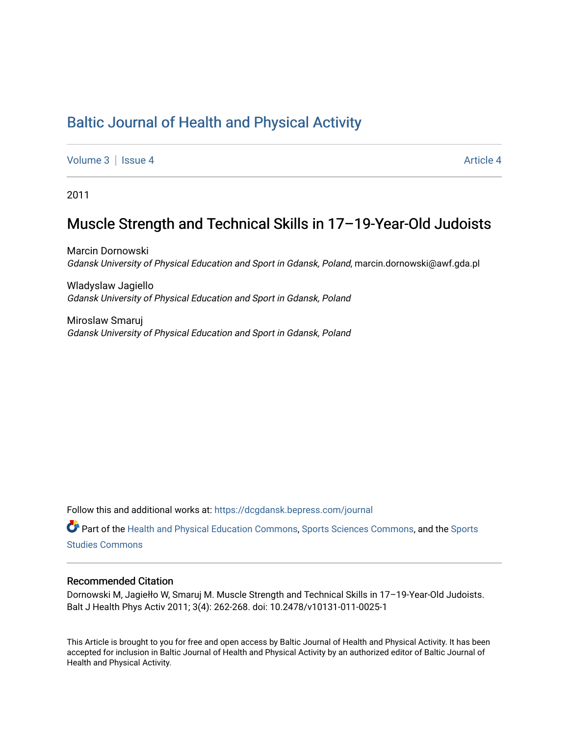# [Baltic Journal of Health and Physical Activity](https://dcgdansk.bepress.com/journal)

[Volume 3](https://dcgdansk.bepress.com/journal/vol3) | [Issue 4](https://dcgdansk.bepress.com/journal/vol3/iss4) Article 4

2011

## Muscle Strength and Technical Skills in 17–19-Year-Old Judoists

Marcin Dornowski Gdansk University of Physical Education and Sport in Gdansk, Poland, marcin.dornowski@awf.gda.pl

Wladyslaw Jagiello Gdansk University of Physical Education and Sport in Gdansk, Poland

Miroslaw Smaruj Gdansk University of Physical Education and Sport in Gdansk, Poland

Follow this and additional works at: [https://dcgdansk.bepress.com/journal](https://dcgdansk.bepress.com/journal?utm_source=dcgdansk.bepress.com%2Fjournal%2Fvol3%2Fiss4%2F4&utm_medium=PDF&utm_campaign=PDFCoverPages)

Part of the [Health and Physical Education Commons](http://network.bepress.com/hgg/discipline/1327?utm_source=dcgdansk.bepress.com%2Fjournal%2Fvol3%2Fiss4%2F4&utm_medium=PDF&utm_campaign=PDFCoverPages), [Sports Sciences Commons](http://network.bepress.com/hgg/discipline/759?utm_source=dcgdansk.bepress.com%2Fjournal%2Fvol3%2Fiss4%2F4&utm_medium=PDF&utm_campaign=PDFCoverPages), and the [Sports](http://network.bepress.com/hgg/discipline/1198?utm_source=dcgdansk.bepress.com%2Fjournal%2Fvol3%2Fiss4%2F4&utm_medium=PDF&utm_campaign=PDFCoverPages)  [Studies Commons](http://network.bepress.com/hgg/discipline/1198?utm_source=dcgdansk.bepress.com%2Fjournal%2Fvol3%2Fiss4%2F4&utm_medium=PDF&utm_campaign=PDFCoverPages) 

#### Recommended Citation

Dornowski M, Jagiełło W, Smaruj M. Muscle Strength and Technical Skills in 17–19-Year-Old Judoists. Balt J Health Phys Activ 2011; 3(4): 262-268. doi: 10.2478/v10131-011-0025-1

This Article is brought to you for free and open access by Baltic Journal of Health and Physical Activity. It has been accepted for inclusion in Baltic Journal of Health and Physical Activity by an authorized editor of Baltic Journal of Health and Physical Activity.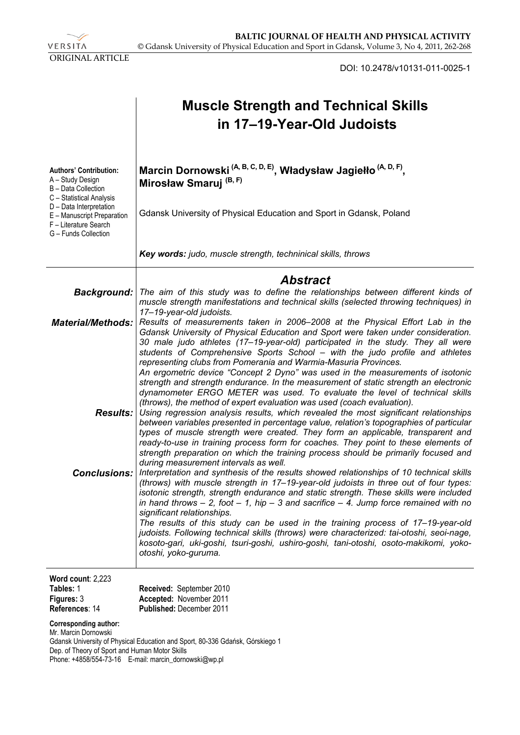VERSITA ORIGINAL ARTICLE

DOI: 10.2478/v10131-011-0025-1

|                                                                                                                                 | <b>Muscle Strength and Technical Skills</b><br>in 17–19-Year-Old Judoists                                                                                                                                                                                                                                                                                                                                                                                                                                                                                                                                                                                                                                                                 |
|---------------------------------------------------------------------------------------------------------------------------------|-------------------------------------------------------------------------------------------------------------------------------------------------------------------------------------------------------------------------------------------------------------------------------------------------------------------------------------------------------------------------------------------------------------------------------------------------------------------------------------------------------------------------------------------------------------------------------------------------------------------------------------------------------------------------------------------------------------------------------------------|
| <b>Authors' Contribution:</b><br>A - Study Design<br>B - Data Collection<br>C - Statistical Analysis<br>D - Data Interpretation | Marcin Dornowski <sup>(A, B, C, D, E)</sup> , Władysław Jagiełło <sup>(A, D, F)</sup> ,<br>Mirosław Smaruj <sup>(B, F)</sup>                                                                                                                                                                                                                                                                                                                                                                                                                                                                                                                                                                                                              |
| E - Manuscript Preparation<br>F - Literature Search<br>G - Funds Collection                                                     | Gdansk University of Physical Education and Sport in Gdansk, Poland                                                                                                                                                                                                                                                                                                                                                                                                                                                                                                                                                                                                                                                                       |
|                                                                                                                                 | Key words: judo, muscle strength, techninical skills, throws                                                                                                                                                                                                                                                                                                                                                                                                                                                                                                                                                                                                                                                                              |
|                                                                                                                                 | <b>Abstract</b>                                                                                                                                                                                                                                                                                                                                                                                                                                                                                                                                                                                                                                                                                                                           |
| <b>Background:</b>                                                                                                              | The aim of this study was to define the relationships between different kinds of<br>muscle strength manifestations and technical skills (selected throwing techniques) in<br>17-19-year-old judoists.                                                                                                                                                                                                                                                                                                                                                                                                                                                                                                                                     |
| <b>Material/Methods:</b>                                                                                                        | Results of measurements taken in 2006–2008 at the Physical Effort Lab in the<br>Gdansk University of Physical Education and Sport were taken under consideration.<br>30 male judo athletes (17–19-year-old) participated in the study. They all were<br>students of Comprehensive Sports School – with the judo profile and athletes<br>representing clubs from Pomerania and Warmia-Masuria Provinces.<br>An ergometric device "Concept 2 Dyno" was used in the measurements of isotonic<br>strength and strength endurance. In the measurement of static strength an electronic<br>dynamometer ERGO METER was used. To evaluate the level of technical skills<br>(throws), the method of expert evaluation was used (coach evaluation). |
|                                                                                                                                 | <b>Results:</b> Using regression analysis results, which revealed the most significant relationships<br>between variables presented in percentage value, relation's topographies of particular<br>types of muscle strength were created. They form an applicable, transparent and<br>ready-to-use in training process form for coaches. They point to these elements of<br>strength preparation on which the training process should be primarily focused and<br>during measurement intervals as well.                                                                                                                                                                                                                                    |
| <b>Conclusions:</b>                                                                                                             | Interpretation and synthesis of the results showed relationships of 10 technical skills<br>(throws) with muscle strength in 17-19-year-old judoists in three out of four types:<br>isotonic strength, strength endurance and static strength. These skills were included<br>in hand throws $-$ 2, foot $-$ 1, hip $-$ 3 and sacrifice $-$ 4. Jump force remained with no<br>significant relationships.<br>The results of this study can be used in the training process of 17-19-year-old<br>judoists. Following technical skills (throws) were characterized: tai-otoshi, seoi-nage,<br>kosoto-gari, uki-goshi, tsuri-goshi, ushiro-goshi, tani-otoshi, osoto-makikomi, yoko-<br>otoshi, yoko-guruma.                                    |
| Word count: 2,223<br>Tables: 1<br>Figures: 3                                                                                    | Received: September 2010<br>Accepted: November 2011                                                                                                                                                                                                                                                                                                                                                                                                                                                                                                                                                                                                                                                                                       |

**References**: 14 **Published:** December 2011

**Corresponding author:**  Mr. Marcin Dornowski Gdansk University of Physical Education and Sport, 80-336 Gdańsk, Górskiego 1 Dep. of Theory of Sport and Human Motor Skills Phone: +4858/554-73-16 E-mail: marcin\_dornowski@wp.pl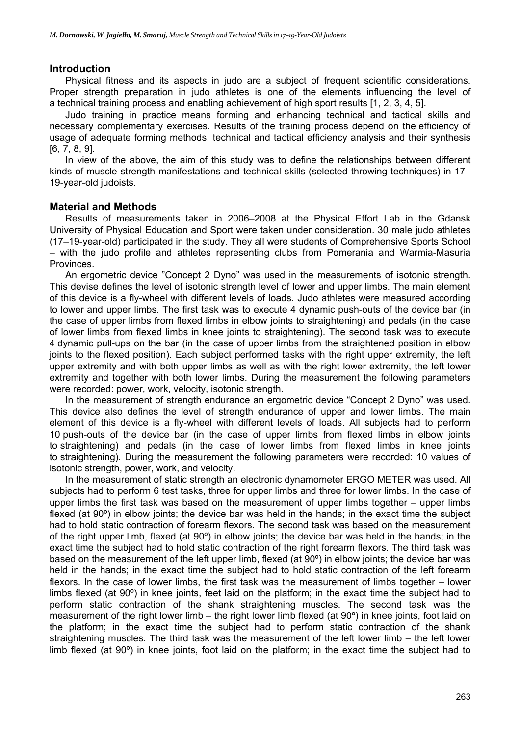#### **Introduction**

Physical fitness and its aspects in judo are a subject of frequent scientific considerations. Proper strength preparation in judo athletes is one of the elements influencing the level of a technical training process and enabling achievement of high sport results [1, 2, 3, 4, 5].

Judo training in practice means forming and enhancing technical and tactical skills and necessary complementary exercises. Results of the training process depend on the efficiency of usage of adequate forming methods, technical and tactical efficiency analysis and their synthesis [6, 7, 8, 9].

In view of the above, the aim of this study was to define the relationships between different kinds of muscle strength manifestations and technical skills (selected throwing techniques) in 17– 19-year-old judoists.

#### **Material and Methods**

Results of measurements taken in 2006–2008 at the Physical Effort Lab in the Gdansk University of Physical Education and Sport were taken under consideration. 30 male judo athletes (17–19-year-old) participated in the study. They all were students of Comprehensive Sports School – with the judo profile and athletes representing clubs from Pomerania and Warmia-Masuria Provinces.

An ergometric device "Concept 2 Dyno" was used in the measurements of isotonic strength. This devise defines the level of isotonic strength level of lower and upper limbs. The main element of this device is a fly-wheel with different levels of loads. Judo athletes were measured according to lower and upper limbs. The first task was to execute 4 dynamic push-outs of the device bar (in the case of upper limbs from flexed limbs in elbow joints to straightening) and pedals (in the case of lower limbs from flexed limbs in knee joints to straightening). The second task was to execute 4 dynamic pull-ups on the bar (in the case of upper limbs from the straightened position in elbow joints to the flexed position). Each subject performed tasks with the right upper extremity, the left upper extremity and with both upper limbs as well as with the right lower extremity, the left lower extremity and together with both lower limbs. During the measurement the following parameters were recorded: power, work, velocity, isotonic strength.

In the measurement of strength endurance an ergometric device "Concept 2 Dyno" was used. This device also defines the level of strength endurance of upper and lower limbs. The main element of this device is a fly-wheel with different levels of loads. All subjects had to perform 10 push-outs of the device bar (in the case of upper limbs from flexed limbs in elbow joints to straightening) and pedals (in the case of lower limbs from flexed limbs in knee joints to straightening). During the measurement the following parameters were recorded: 10 values of isotonic strength, power, work, and velocity.

In the measurement of static strength an electronic dynamometer ERGO METER was used. All subjects had to perform 6 test tasks, three for upper limbs and three for lower limbs. In the case of upper limbs the first task was based on the measurement of upper limbs together – upper limbs flexed (at 90º) in elbow joints; the device bar was held in the hands; in the exact time the subject had to hold static contraction of forearm flexors. The second task was based on the measurement of the right upper limb, flexed (at 90º) in elbow joints; the device bar was held in the hands; in the exact time the subject had to hold static contraction of the right forearm flexors. The third task was based on the measurement of the left upper limb, flexed (at 90º) in elbow joints; the device bar was held in the hands; in the exact time the subject had to hold static contraction of the left forearm flexors. In the case of lower limbs, the first task was the measurement of limbs together – lower limbs flexed (at 90º) in knee joints, feet laid on the platform; in the exact time the subject had to perform static contraction of the shank straightening muscles. The second task was the measurement of the right lower limb – the right lower limb flexed (at 90º) in knee joints, foot laid on the platform; in the exact time the subject had to perform static contraction of the shank straightening muscles. The third task was the measurement of the left lower limb – the left lower limb flexed (at 90º) in knee joints, foot laid on the platform; in the exact time the subject had to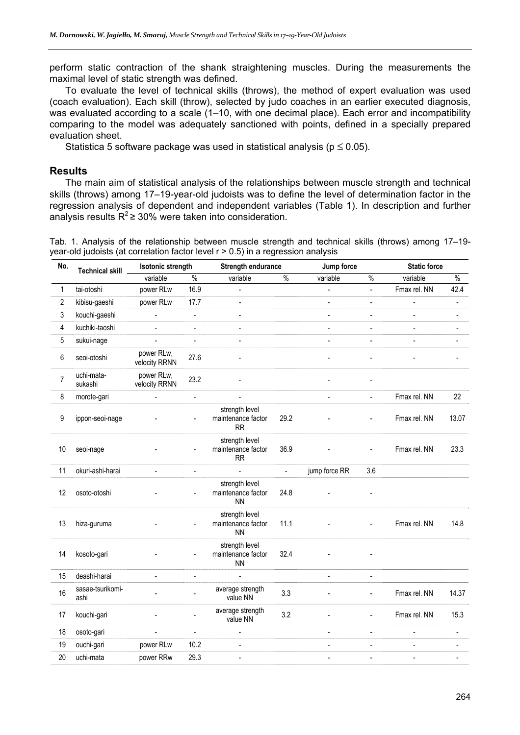perform static contraction of the shank straightening muscles. During the measurements the maximal level of static strength was defined.

To evaluate the level of technical skills (throws), the method of expert evaluation was used (coach evaluation). Each skill (throw), selected by judo coaches in an earlier executed diagnosis, was evaluated according to a scale (1–10, with one decimal place). Each error and incompatibility comparing to the model was adequately sanctioned with points, defined in a specially prepared evaluation sheet.

Statistica 5 software package was used in statistical analysis ( $p \le 0.05$ ).

#### **Results**

The main aim of statistical analysis of the relationships between muscle strength and technical skills (throws) among 17–19-year-old judoists was to define the level of determination factor in the regression analysis of dependent and independent variables (Table 1). In description and further analysis results  $R^2 \ge 30\%$  were taken into consideration.

Tab. 1. Analysis of the relationship between muscle strength and technical skills (throws) among 17–19 year-old judoists (at correlation factor level r > 0.5) in a regression analysis

| No.            | <b>Technical skill</b>   | <b>Isotonic strength</b>    |                          | Strength endurance                                |                          | Jump force     |                          | <b>Static force</b> |                              |
|----------------|--------------------------|-----------------------------|--------------------------|---------------------------------------------------|--------------------------|----------------|--------------------------|---------------------|------------------------------|
|                |                          | variable                    | $\%$                     | variable                                          | $\%$                     | variable       | $\%$                     | variable            | $\frac{0}{0}$                |
| 1              | tai-otoshi               | power RLw                   | 16.9                     |                                                   |                          |                | $\overline{\phantom{a}}$ | Fmax rel. NN        | 42.4                         |
| 2              | kibisu-gaeshi            | power RLw                   | 17.7                     |                                                   |                          |                | $\overline{\phantom{a}}$ | $\frac{1}{2}$       | $\qquad \qquad \blacksquare$ |
| 3              | kouchi-gaeshi            | $\overline{\phantom{a}}$    | $\blacksquare$           | $\blacksquare$                                    |                          | $\overline{a}$ | $\frac{1}{2}$            | $\blacksquare$      | $\blacksquare$               |
| 4              | kuchiki-taoshi           | $\overline{\phantom{a}}$    | $\blacksquare$           | $\blacksquare$                                    |                          | $\blacksquare$ | $\overline{\phantom{a}}$ |                     |                              |
| 5              | sukui-nage               |                             |                          |                                                   |                          |                | $\overline{a}$           |                     |                              |
| 6              | seoi-otoshi              | power RLw,<br>velocity RRNN | 27.6                     |                                                   |                          |                |                          |                     |                              |
| $\overline{7}$ | uchi-mata-<br>sukashi    | power RLw,<br>velocity RRNN | 23.2                     |                                                   |                          |                |                          |                     |                              |
| 8              | morote-gari              |                             | $\overline{a}$           |                                                   |                          | $\overline{a}$ | $\frac{1}{2}$            | Fmax rel. NN        | 22                           |
| 9              | ippon-seoi-nage          |                             | $\overline{\phantom{a}}$ | strength level<br>maintenance factor<br><b>RR</b> | 29.2                     |                | ÷,                       | Fmax rel. NN        | 13.07                        |
| 10             | seoi-nage                |                             |                          | strength level<br>maintenance factor<br>RR        | 36.9                     |                |                          | Fmax rel. NN        | 23.3                         |
| 11             | okuri-ashi-harai         | $\overline{a}$              | $\overline{\phantom{a}}$ |                                                   | $\overline{\phantom{a}}$ | jump force RR  | 3.6                      |                     |                              |
| 12             | osoto-otoshi             |                             |                          | strength level<br>maintenance factor<br><b>NN</b> | 24.8                     |                |                          |                     |                              |
| 13             | hiza-guruma              |                             |                          | strength level<br>maintenance factor<br><b>NN</b> | 11.1                     |                |                          | Fmax rel. NN        | 14.8                         |
| 14             | kosoto-gari              |                             | $\overline{\phantom{a}}$ | strength level<br>maintenance factor<br><b>NN</b> | 32.4                     |                |                          |                     |                              |
| 15             | deashi-harai             | $\overline{a}$              | $\blacksquare$           | $\overline{a}$                                    |                          | $\blacksquare$ | $\blacksquare$           |                     |                              |
| 16             | sasae-tsurikomi-<br>ashi |                             |                          | average strength<br>value NN                      | 3.3                      |                | $\overline{a}$           | Fmax rel. NN        | 14.37                        |
| 17             | kouchi-gari              |                             |                          | average strength<br>value NN                      | 3.2                      |                | ÷.                       | Fmax rel. NN        | 15.3                         |
| 18             | osoto-gari               |                             | $\overline{a}$           |                                                   |                          |                | $\frac{1}{2}$            |                     | ÷,                           |
| 19             | ouchi-gari               | power RLw                   | 10.2                     | ÷.                                                |                          | $\overline{a}$ | $\frac{1}{2}$            | $\frac{1}{2}$       |                              |
| 20             | uchi-mata                | power RRw                   | 29.3                     | $\blacksquare$                                    |                          | $\blacksquare$ | $\blacksquare$           | $\blacksquare$      |                              |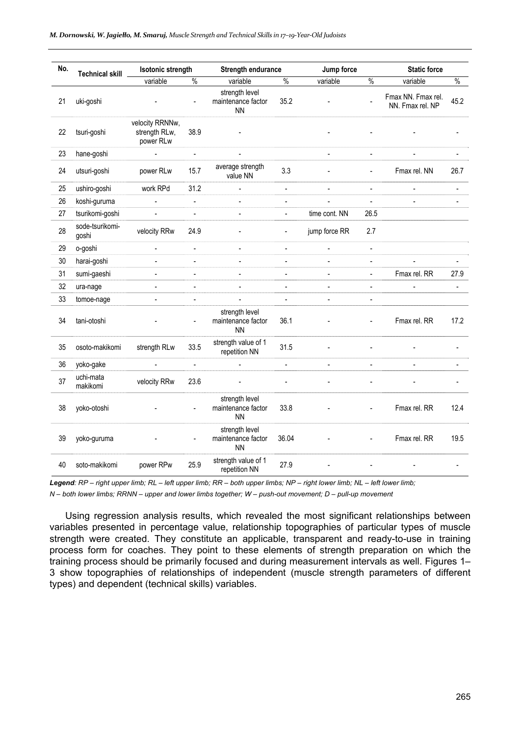| No. | <b>Technical skill</b>   | <b>Isotonic strength</b>                      |                | <b>Strength endurance</b>                         |                          | Jump force     |                          | <b>Static force</b>                    |                          |
|-----|--------------------------|-----------------------------------------------|----------------|---------------------------------------------------|--------------------------|----------------|--------------------------|----------------------------------------|--------------------------|
|     |                          | variable                                      | $\%$           | variable                                          | $\%$                     | variable       | $\%$                     | variable                               | $\%$                     |
| 21  | uki-goshi                |                                               |                | strength level<br>maintenance factor<br><b>NN</b> | 35.2                     |                |                          | Fmax NN. Fmax rel.<br>NN. Fmax rel. NP | 45.2                     |
| 22  | tsuri-goshi              | velocity RRNNw,<br>strength RLw,<br>power RLw | 38.9           |                                                   |                          |                |                          |                                        |                          |
| 23  | hane-goshi               | $\overline{\phantom{a}}$                      | $\blacksquare$ | $\blacksquare$                                    |                          | $\Box$         | $\blacksquare$           | $\blacksquare$                         | $\overline{a}$           |
| 24  | utsuri-goshi             | power RLw                                     | 15.7           | average strength<br>value NN                      | 3.3                      |                | $\overline{\phantom{a}}$ | Fmax rel. NN                           | 26.7                     |
| 25  | ushiro-goshi             | work RPd                                      | 31.2           | $\overline{a}$                                    | $\blacksquare$           | $\blacksquare$ | $\blacksquare$           |                                        |                          |
| 26  | koshi-guruma             |                                               | $\overline{a}$ | ÷,                                                | $\blacksquare$           |                | $\overline{a}$           |                                        |                          |
| 27  | tsurikomi-goshi          | $\overline{a}$                                |                | $\blacksquare$                                    | $\overline{\phantom{a}}$ | time cont. NN  | 26.5                     |                                        |                          |
| 28  | sode-tsurikomi-<br>goshi | velocity RRw                                  | 24.9           |                                                   | $\blacksquare$           | jump force RR  | 2.7                      |                                        |                          |
| 29  | o-goshi                  | $\frac{1}{2}$                                 | $\overline{a}$ | $\overline{\phantom{a}}$                          | $\overline{\phantom{a}}$ | $\blacksquare$ | $\overline{\phantom{a}}$ |                                        |                          |
| 30  | harai-goshi              | $\overline{a}$                                | $\overline{a}$ | $\overline{a}$                                    | $\overline{\phantom{a}}$ | $\blacksquare$ | $\frac{1}{2}$            | $\overline{a}$                         |                          |
| 31  | sumi-gaeshi              | $\overline{a}$                                |                | $\overline{\phantom{a}}$                          | $\frac{1}{2}$            |                | $\overline{a}$           | Fmax rel. RR                           | 27.9                     |
| 32  | ura-nage                 | $\overline{a}$                                | $\blacksquare$ | $\overline{a}$                                    | $\blacksquare$           | $\blacksquare$ | $\frac{1}{2}$            |                                        | $\overline{\phantom{a}}$ |
| 33  | tomoe-nage               | $\overline{a}$                                |                |                                                   | $\blacksquare$           | $\blacksquare$ | $\frac{1}{2}$            |                                        |                          |
| 34  | tani-otoshi              |                                               | $\blacksquare$ | strength level<br>maintenance factor<br><b>NN</b> | 36.1                     |                |                          | Fmax rel. RR                           | 17.2                     |
| 35  | osoto-makikomi           | strength RLw                                  | 33.5           | strength value of 1<br>repetition NN              | 31.5                     |                |                          |                                        |                          |
| 36  | yoko-gake                | $\frac{1}{2}$                                 | $\overline{a}$ |                                                   | $\overline{a}$           | $\overline{a}$ | $\overline{a}$           |                                        |                          |
| 37  | uchi-mata<br>makikomi    | velocity RRw                                  | 23.6           |                                                   |                          |                |                          |                                        |                          |
| 38  | yoko-otoshi              |                                               |                | strength level<br>maintenance factor<br><b>NN</b> | 33.8                     |                |                          | Fmax rel. RR                           | 12.4                     |
| 39  | yoko-guruma              |                                               | $\blacksquare$ | strength level<br>maintenance factor<br><b>NN</b> | 36.04                    |                | $\overline{\phantom{0}}$ | Fmax rel. RR                           | 19.5                     |
| 40  | soto-makikomi            | power RPw                                     | 25.9           | strength value of 1<br>repetition NN              | 27.9                     |                |                          |                                        |                          |

*Legend: RP – right upper limb; RL – left upper limb; RR – both upper limbs; NP – right lower limb; NL – left lower limb;* 

*N – both lower limbs; RRNN – upper and lower limbs together; W – push-out movement; D – pull-up movement* 

Using regression analysis results, which revealed the most significant relationships between variables presented in percentage value, relationship topographies of particular types of muscle strength were created. They constitute an applicable, transparent and ready-to-use in training process form for coaches. They point to these elements of strength preparation on which the training process should be primarily focused and during measurement intervals as well. Figures 1– 3 show topographies of relationships of independent (muscle strength parameters of different types) and dependent (technical skills) variables.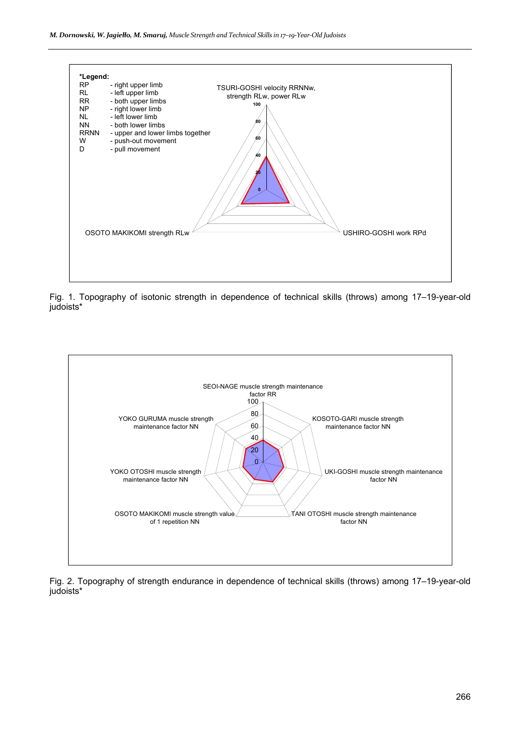

Fig. 1. Topography of isotonic strength in dependence of technical skills (throws) among 17–19-year-old judoists\*



Fig. 2. Topography of strength endurance in dependence of technical skills (throws) among 17–19-year-old judoists\*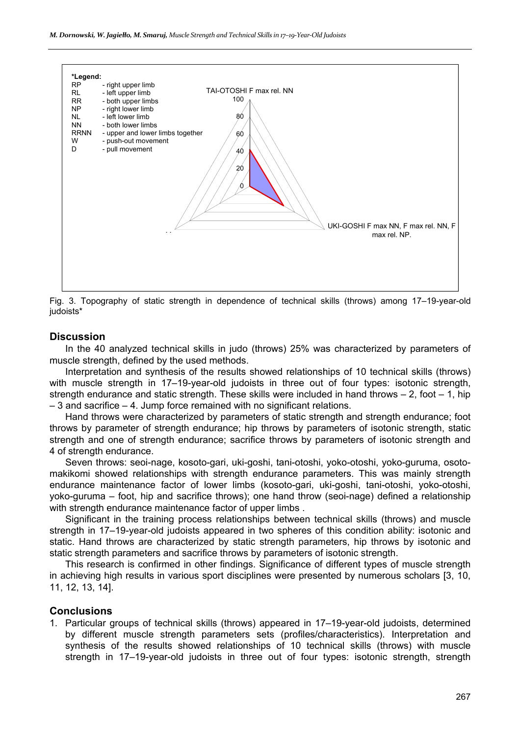

Fig. 3. Topography of static strength in dependence of technical skills (throws) among 17–19-year-old judoists\*

#### **Discussion**

In the 40 analyzed technical skills in judo (throws) 25% was characterized by parameters of muscle strength, defined by the used methods.

Interpretation and synthesis of the results showed relationships of 10 technical skills (throws) with muscle strength in 17–19-year-old judoists in three out of four types: isotonic strength, strength endurance and static strength. These skills were included in hand throws  $-2$ , foot  $-1$ , hip – 3 and sacrifice – 4. Jump force remained with no significant relations.

Hand throws were characterized by parameters of static strength and strength endurance; foot throws by parameter of strength endurance; hip throws by parameters of isotonic strength, static strength and one of strength endurance; sacrifice throws by parameters of isotonic strength and 4 of strength endurance.

Seven throws: seoi-nage, kosoto-gari, uki-goshi, tani-otoshi, yoko-otoshi, yoko-guruma, osotomakikomi showed relationships with strength endurance parameters. This was mainly strength endurance maintenance factor of lower limbs (kosoto-gari, uki-goshi, tani-otoshi, yoko-otoshi, yoko-guruma – foot, hip and sacrifice throws); one hand throw (seoi-nage) defined a relationship with strength endurance maintenance factor of upper limbs .

Significant in the training process relationships between technical skills (throws) and muscle strength in 17–19-year-old judoists appeared in two spheres of this condition ability: isotonic and static. Hand throws are characterized by static strength parameters, hip throws by isotonic and static strength parameters and sacrifice throws by parameters of isotonic strength.

This research is confirmed in other findings. Significance of different types of muscle strength in achieving high results in various sport disciplines were presented by numerous scholars [3, 10, 11, 12, 13, 14].

#### **Conclusions**

1. Particular groups of technical skills (throws) appeared in 17–19-year-old judoists, determined by different muscle strength parameters sets (profiles/characteristics). Interpretation and synthesis of the results showed relationships of 10 technical skills (throws) with muscle strength in 17–19-year-old judoists in three out of four types: isotonic strength, strength